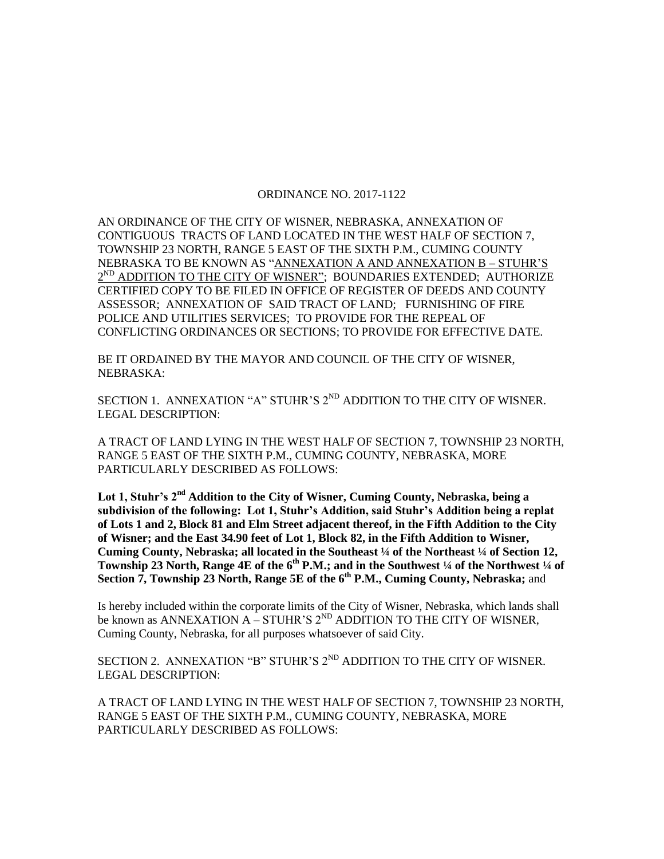## ORDINANCE NO. 2017-1122

AN ORDINANCE OF THE CITY OF WISNER, NEBRASKA, ANNEXATION OF CONTIGUOUS TRACTS OF LAND LOCATED IN THE WEST HALF OF SECTION 7, TOWNSHIP 23 NORTH, RANGE 5 EAST OF THE SIXTH P.M., CUMING COUNTY NEBRASKA TO BE KNOWN AS "ANNEXATION A AND ANNEXATION B - STUHR'S  $2^{ND}$  ADDITION TO THE CITY OF WISNER"; BOUNDARIES EXTENDED; AUTHORIZE CERTIFIED COPY TO BE FILED IN OFFICE OF REGISTER OF DEEDS AND COUNTY ASSESSOR; ANNEXATION OF SAID TRACT OF LAND; FURNISHING OF FIRE POLICE AND UTILITIES SERVICES; TO PROVIDE FOR THE REPEAL OF CONFLICTING ORDINANCES OR SECTIONS; TO PROVIDE FOR EFFECTIVE DATE.

BE IT ORDAINED BY THE MAYOR AND COUNCIL OF THE CITY OF WISNER, NEBRASKA:

SECTION 1. ANNEXATION "A" STUHR'S 2<sup>ND</sup> ADDITION TO THE CITY OF WISNER. LEGAL DESCRIPTION:

A TRACT OF LAND LYING IN THE WEST HALF OF SECTION 7, TOWNSHIP 23 NORTH, RANGE 5 EAST OF THE SIXTH P.M., CUMING COUNTY, NEBRASKA, MORE PARTICULARLY DESCRIBED AS FOLLOWS:

**Lot 1, Stuhr's 2nd Addition to the City of Wisner, Cuming County, Nebraska, being a subdivision of the following: Lot 1, Stuhr's Addition, said Stuhr's Addition being a replat of Lots 1 and 2, Block 81 and Elm Street adjacent thereof, in the Fifth Addition to the City of Wisner; and the East 34.90 feet of Lot 1, Block 82, in the Fifth Addition to Wisner, Cuming County, Nebraska; all located in the Southeast ¼ of the Northeast ¼ of Section 12, Township 23 North, Range 4E of the 6th P.M.; and in the Southwest ¼ of the Northwest ¼ of Section 7, Township 23 North, Range 5E of the 6th P.M., Cuming County, Nebraska;** and

Is hereby included within the corporate limits of the City of Wisner, Nebraska, which lands shall be known as ANNEXATION  $A - STUHR'S 2^{ND}$  ADDITION TO THE CITY OF WISNER, Cuming County, Nebraska, for all purposes whatsoever of said City.

SECTION 2. ANNEXATION "B" STUHR'S  $2^{ND}$  ADDITION TO THE CITY OF WISNER. LEGAL DESCRIPTION:

A TRACT OF LAND LYING IN THE WEST HALF OF SECTION 7, TOWNSHIP 23 NORTH, RANGE 5 EAST OF THE SIXTH P.M., CUMING COUNTY, NEBRASKA, MORE PARTICULARLY DESCRIBED AS FOLLOWS: